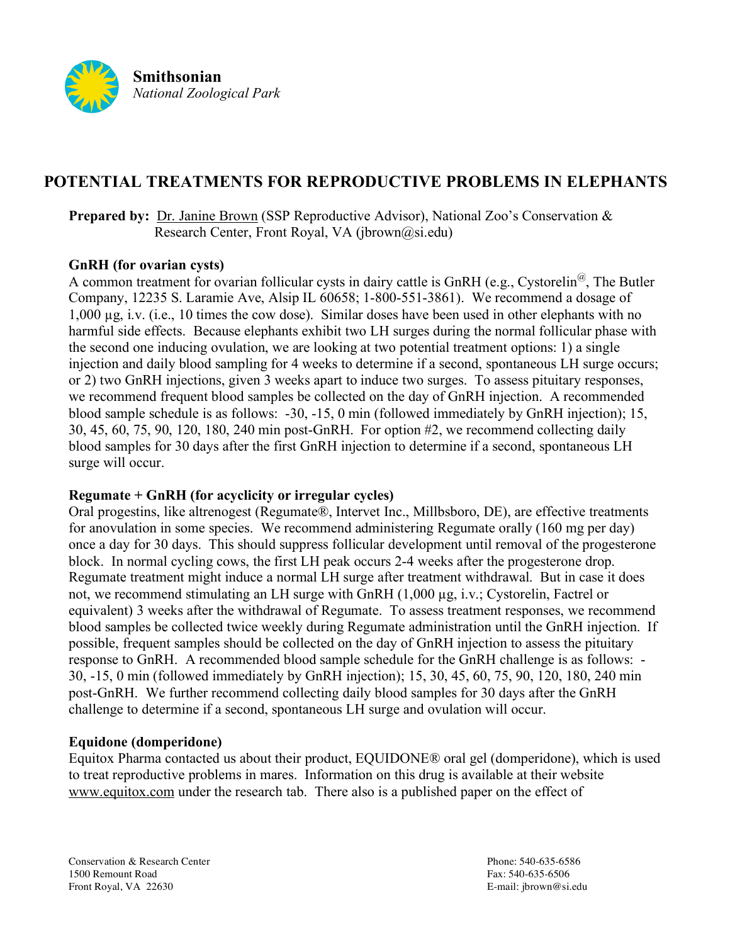

# **POTENTIAL TREATMENTS FOR REPRODUCTIVE PROBLEMS IN ELEPHANTS**

**Prepared by:** Dr. Janine Brown (SSP Reproductive Advisor), National Zoo's Conservation & Research Center, Front Royal, VA ( $ibrown@si.edu)$ )

#### **GnRH (for ovarian cysts)**

A common treatment for ovarian follicular cysts in dairy cattle is GnRH (e.g., Cystorelin<sup>@</sup>, The Butler Company, 12235 S. Laramie Ave, Alsip IL 60658; 1-800-551-3861). We recommend a dosage of 1,000 µg, i.v. (i.e., 10 times the cow dose). Similar doses have been used in other elephants with no harmful side effects. Because elephants exhibit two LH surges during the normal follicular phase with the second one inducing ovulation, we are looking at two potential treatment options: 1) a single injection and daily blood sampling for 4 weeks to determine if a second, spontaneous LH surge occurs; or 2) two GnRH injections, given 3 weeks apart to induce two surges. To assess pituitary responses, we recommend frequent blood samples be collected on the day of GnRH injection. A recommended blood sample schedule is as follows: -30, -15, 0 min (followed immediately by GnRH injection); 15, 30, 45, 60, 75, 90, 120, 180, 240 min post-GnRH. For option #2, we recommend collecting daily blood samples for 30 days after the first GnRH injection to determine if a second, spontaneous LH surge will occur.

## **Regumate + GnRH (for acyclicity or irregular cycles)**

Oral progestins, like altrenogest (Regumate®, Intervet Inc., Millbsboro, DE), are effective treatments for anovulation in some species. We recommend administering Regumate orally (160 mg per day) once a day for 30 days. This should suppress follicular development until removal of the progesterone block. In normal cycling cows, the first LH peak occurs 2-4 weeks after the progesterone drop. Regumate treatment might induce a normal LH surge after treatment withdrawal. But in case it does not, we recommend stimulating an LH surge with GnRH (1,000 µg, i.v.; Cystorelin, Factrel or equivalent) 3 weeks after the withdrawal of Regumate. To assess treatment responses, we recommend blood samples be collected twice weekly during Regumate administration until the GnRH injection. If possible, frequent samples should be collected on the day of GnRH injection to assess the pituitary response to GnRH. A recommended blood sample schedule for the GnRH challenge is as follows: - 30, -15, 0 min (followed immediately by GnRH injection); 15, 30, 45, 60, 75, 90, 120, 180, 240 min post-GnRH. We further recommend collecting daily blood samples for 30 days after the GnRH challenge to determine if a second, spontaneous LH surge and ovulation will occur.

## **Equidone (domperidone)**

Equitox Pharma contacted us about their product, EQUIDONE® oral gel (domperidone), which is used to treat reproductive problems in mares. Information on this drug is available at their website www.equitox.com under the research tab. There also is a published paper on the effect of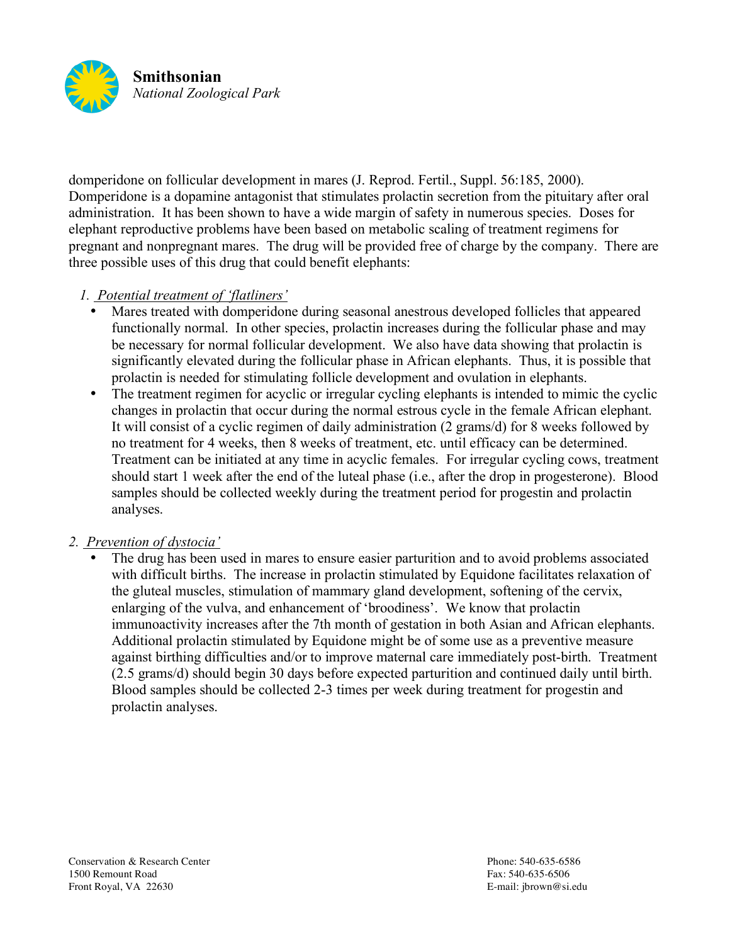

domperidone on follicular development in mares (J. Reprod. Fertil., Suppl. 56:185, 2000). Domperidone is a dopamine antagonist that stimulates prolactin secretion from the pituitary after oral administration. It has been shown to have a wide margin of safety in numerous species. Doses for elephant reproductive problems have been based on metabolic scaling of treatment regimens for pregnant and nonpregnant mares. The drug will be provided free of charge by the company. There are three possible uses of this drug that could benefit elephants:

## *1. Potential treatment of 'flatliners'*

- Mares treated with domperidone during seasonal anestrous developed follicles that appeared functionally normal. In other species, prolactin increases during the follicular phase and may be necessary for normal follicular development. We also have data showing that prolactin is significantly elevated during the follicular phase in African elephants. Thus, it is possible that prolactin is needed for stimulating follicle development and ovulation in elephants.
- The treatment regimen for acyclic or irregular cycling elephants is intended to mimic the cyclic changes in prolactin that occur during the normal estrous cycle in the female African elephant. It will consist of a cyclic regimen of daily administration (2 grams/d) for 8 weeks followed by no treatment for 4 weeks, then 8 weeks of treatment, etc. until efficacy can be determined. Treatment can be initiated at any time in acyclic females. For irregular cycling cows, treatment should start 1 week after the end of the luteal phase (i.e., after the drop in progesterone). Blood samples should be collected weekly during the treatment period for progestin and prolactin analyses.

## *2. Prevention of dystocia'*

The drug has been used in mares to ensure easier parturition and to avoid problems associated with difficult births. The increase in prolactin stimulated by Equidone facilitates relaxation of the gluteal muscles, stimulation of mammary gland development, softening of the cervix, enlarging of the vulva, and enhancement of 'broodiness'. We know that prolactin immunoactivity increases after the 7th month of gestation in both Asian and African elephants. Additional prolactin stimulated by Equidone might be of some use as a preventive measure against birthing difficulties and/or to improve maternal care immediately post-birth. Treatment (2.5 grams/d) should begin 30 days before expected parturition and continued daily until birth. Blood samples should be collected 2-3 times per week during treatment for progestin and prolactin analyses.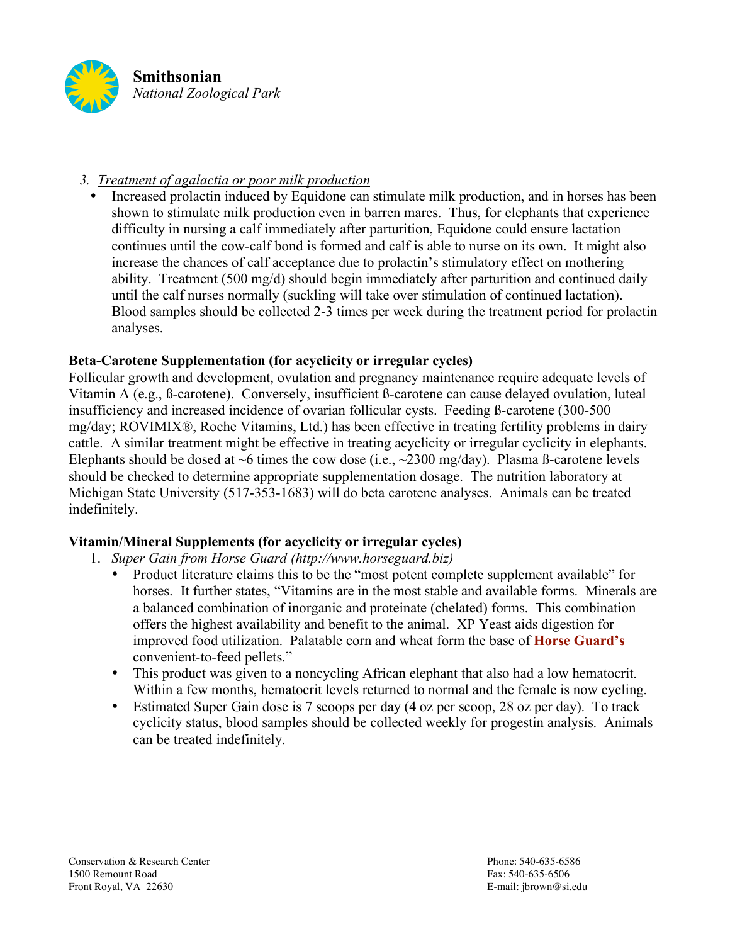

## *3. Treatment of agalactia or poor milk production*

• Increased prolactin induced by Equidone can stimulate milk production, and in horses has been shown to stimulate milk production even in barren mares. Thus, for elephants that experience difficulty in nursing a calf immediately after parturition, Equidone could ensure lactation continues until the cow-calf bond is formed and calf is able to nurse on its own. It might also increase the chances of calf acceptance due to prolactin's stimulatory effect on mothering ability. Treatment (500 mg/d) should begin immediately after parturition and continued daily until the calf nurses normally (suckling will take over stimulation of continued lactation). Blood samples should be collected 2-3 times per week during the treatment period for prolactin analyses.

## **Beta-Carotene Supplementation (for acyclicity or irregular cycles)**

Follicular growth and development, ovulation and pregnancy maintenance require adequate levels of Vitamin A (e.g., ß-carotene). Conversely, insufficient ß-carotene can cause delayed ovulation, luteal insufficiency and increased incidence of ovarian follicular cysts. Feeding ß-carotene (300-500 mg/day; ROVIMIX®, Roche Vitamins, Ltd.) has been effective in treating fertility problems in dairy cattle. A similar treatment might be effective in treating acyclicity or irregular cyclicity in elephants. Elephants should be dosed at  $\sim$ 6 times the cow dose (i.e.,  $\sim$ 2300 mg/day). Plasma ß-carotene levels should be checked to determine appropriate supplementation dosage. The nutrition laboratory at Michigan State University (517-353-1683) will do beta carotene analyses. Animals can be treated indefinitely.

## **Vitamin/Mineral Supplements (for acyclicity or irregular cycles)**

- 1. *Super Gain from Horse Guard (http://www.horseguard.biz)*
	- Product literature claims this to be the "most potent complete supplement available" for horses. It further states, "Vitamins are in the most stable and available forms. Minerals are a balanced combination of inorganic and proteinate (chelated) forms. This combination offers the highest availability and benefit to the animal. XP Yeast aids digestion for improved food utilization. Palatable corn and wheat form the base of **Horse Guard's** convenient-to-feed pellets."
	- This product was given to a noncycling African elephant that also had a low hematocrit. Within a few months, hematocrit levels returned to normal and the female is now cycling.
	- Estimated Super Gain dose is 7 scoops per day (4 oz per scoop, 28 oz per day). To track cyclicity status, blood samples should be collected weekly for progestin analysis. Animals can be treated indefinitely.